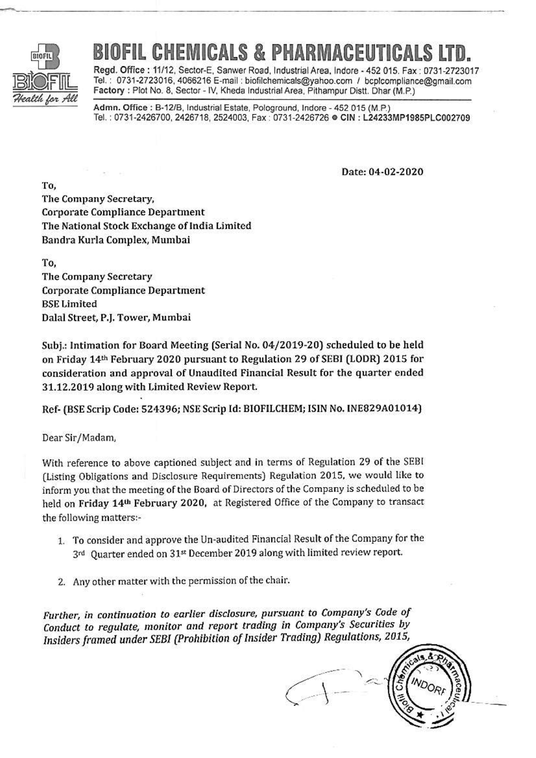

## **CHEMICALS & PHARMACEU**

Regd. Office: 11/12, Sector-E, Sanwer Road, Industrial Area, Indore - 452 015, Fax: 0731-2723017 Tel.: 0731-2723016, 4066216 E-mail: biofilchemicals@yahoo.com / bcplcompliance@gmail.com Factory: Plot No. 8, Sector - IV, Kheda Industrial Area, Pithampur Distt. Dhar (M.P.)

Admn. Office: B-12/B, Industrial Estate, Pologround, Indore - 452 015 (M.P.) Tel.: 0731-2426700, 2426718, 2524003, Fax: 0731-2426726 · CIN: L24233MP1985PLC002709

Date: 04-02-2020

To. The Company Secretary, **Corporate Compliance Department** The National Stock Exchange of India Limited Bandra Kurla Complex, Mumbai

To. The Company Secretary **Corporate Compliance Department BSE Limited** Dalal Street, P.J. Tower, Mumbai

Subj.: Intimation for Board Meeting (Serial No. 04/2019-20) scheduled to be held on Friday 14th February 2020 pursuant to Regulation 29 of SEBI (LODR) 2015 for consideration and approval of Unaudited Financial Result for the quarter ended 31.12.2019 along with Limited Review Report.

Ref- (BSE Scrip Code: 524396; NSE Scrip Id: BIOFILCHEM; ISIN No. INE829A01014)

Dear Sir/Madam,

With reference to above captioned subject and in terms of Regulation 29 of the SEBI (Listing Obligations and Disclosure Requirements) Regulation 2015, we would like to inform you that the meeting of the Board of Directors of the Company is scheduled to be held on Friday 14th February 2020, at Registered Office of the Company to transact the following matters:-

- 1. To consider and approve the Un-audited Financial Result of the Company for the 3rd Quarter ended on 31st December 2019 along with limited review report.
- 2. Any other matter with the permission of the chair.

Further, in continuation to earlier disclosure, pursuant to Company's Code of Conduct to regulate, monitor and report trading in Company's Securities by Insiders framed under SEBI (Prohibition of Insider Trading) Regulations, 2015,